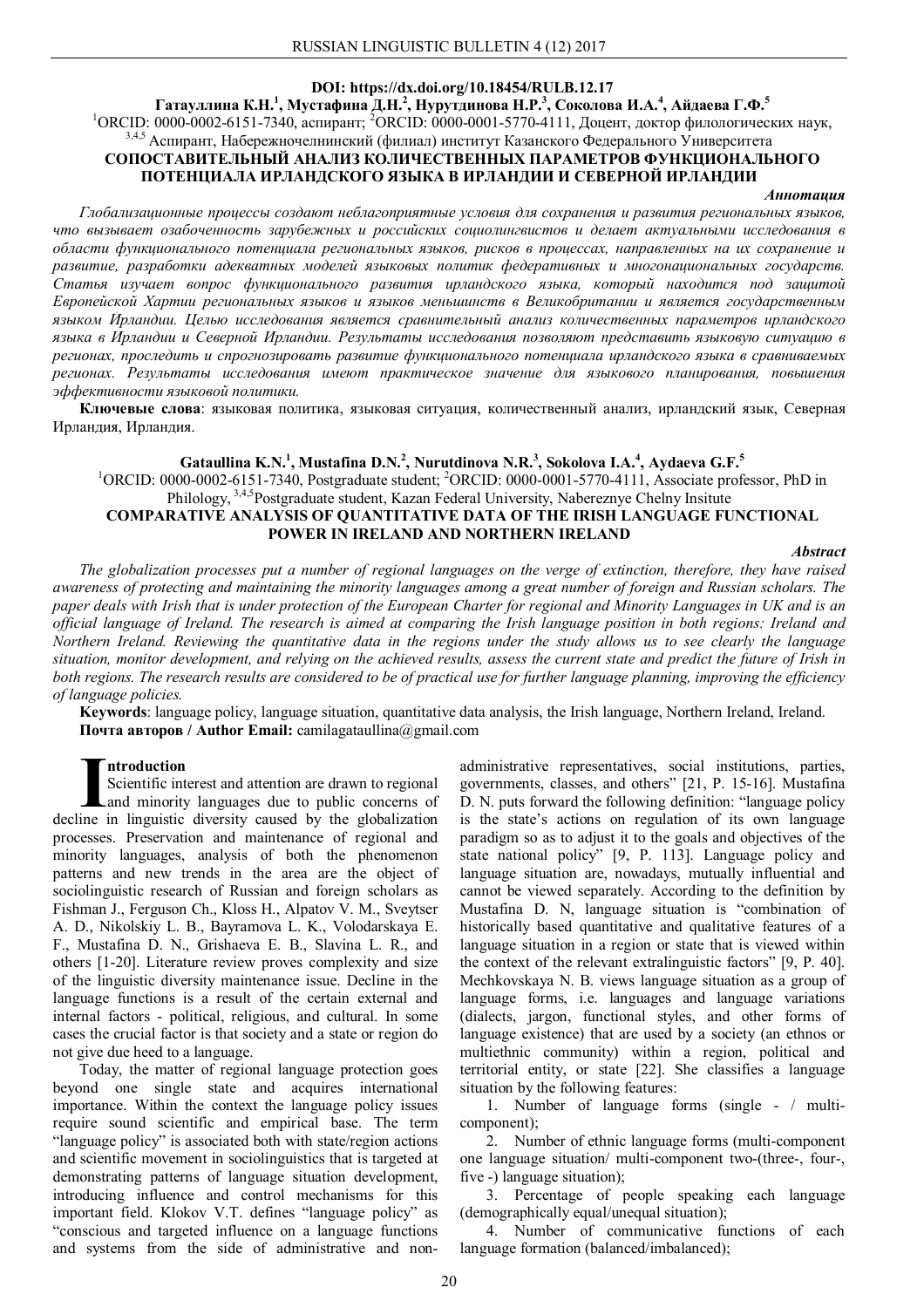# **DOI: https://dx.doi.org/10.18454/RULB.12.17**

**Гатауллина К.Н.<sup>1</sup> , Мустафина Д.Н.<sup>2</sup> , Нурутдинова Н.Р.<sup>3</sup> , Соколова И.А.<sup>4</sup> , Айдаева Г.Ф.<sup>5</sup>**

<sup>1</sup>ОRCID: 0000-0002-6151-7340, аспирант; <sup>2</sup>ОRCID: 0000-0001-5770-4111, Доцент, доктор филологических наук, <sup>3,4,5</sup> Аспирант, Набережночелнинский (филиал) институт Казанского Федерального Университета

# **СОПОСТАВИТЕЛЬНЫЙ АНАЛИЗ КОЛИЧЕСТВЕННЫХ ПАРАМЕТРОВ ФУНКЦИОНАЛЬНОГО ПОТЕНЦИАЛА ИРЛАНДСКОГО ЯЗЫКА В ИРЛАНДИИ И СЕВЕРНОЙ ИРЛАНДИИ**

#### *Аннотация*

*Глобализационные процессы создают неблагоприятные условия для сохранения и развития региональных языков, что вызывает озабоченность зарубежных и российских социолингвистов и делает актуальными исследования в области функционального потенциала региональных языков, рисков в процессах, направленных на их сохранение и развитие, разработки адекватных моделей языковых политик федеративных и многонациональных государств. Статья изучает вопрос функционального развития ирландского языка, который находится под защитой Европейской Хартии региональных языков и языков меньшинств в Великобритании и является государственным языком Ирландии. Целью исследования является сравнительный анализ количественных параметров ирландского языка в Ирландии и Северной Ирландии. Результаты исследования позволяют представить языковую ситуацию в регионах, проследить и спрогнозировать развитие функционального потенциала ирландского языка в сравниваемых регионах. Результаты исследования имеют практическое значение для языкового планирования, повышения эффективности языковой политики.*

**Ключевые слова**: языковая политика, языковая ситуация, количественный анализ, ирландский язык, Северная Ирландия, Ирландия.

# $\boldsymbol{\mathrm{G}}$ ataullina  $\boldsymbol{\mathrm{K}}.\boldsymbol{\mathrm{N}}$ .<sup>1</sup>, Mustafina  $\boldsymbol{\mathrm{D}}.\boldsymbol{\mathrm{N}}$ . $^2$ , Nurutdinova  $\boldsymbol{\mathrm{N}}.\boldsymbol{\mathrm{R}}$ . $^3$ , Sokolova I.A. $^4$ , Aydaeva  $\boldsymbol{\mathrm{G}}.\boldsymbol{\mathrm{F}}$ . $^5$ <sup>1</sup>ORCID: 0000-0002-6151-7340, Postgraduate student; <sup>2</sup>ORCID: 0000-0001-5770-4111, Associate professor, PhD in Philology, 3,4,5Postgraduate student, Kazan Federal University, Nabereznye Chelny Insitute **COMPARATIVE ANALYSIS OF QUANTITATIVE DATA OF THE IRISH LANGUAGE FUNCTIONAL POWER IN IRELAND AND NORTHERN IRELAND**

*Abstract*

*The globalization processes put a number of regional languages on the verge of extinction, therefore, they have raised awareness of protecting and maintaining the minority languages among a great number of foreign and Russian scholars. The paper deals with Irish that is under protection of the European Charter for regional and Minority Languages in UK and is an official language of Ireland. The research is aimed at comparing the Irish language position in both regions: Ireland and Northern Ireland. Reviewing the quantitative data in the regions under the study allows us to see clearly the language situation, monitor development, and relying on the achieved results, assess the current state and predict the future of Irish in both regions. The research results are considered to be of practical use for further language planning, improving the efficiency of language policies.*

**Keywords**: language policy, language situation, quantitative data analysis, the Irish language, Northern Ireland, Ireland. **Почта авторов / Author Email:** camilagataullina@gmail.com

### **ntroduction**

Scientific interest and attention are drawn to regional and minority languages due to public concerns of decline in linguistic diversity caused by the globalization **I**processes. Preservation and maintenance of regional and minority languages, analysis of both the phenomenon patterns and new trends in the area are the object of sociolinguistic research of Russian and foreign scholars as Fishman J., Ferguson Ch., Kloss H., Alpatov V. M., Sveytser A. D., Nikolskiy L. B., Bayramova L. K., Volodarskaya E. F., Mustafina D. N., Grishaeva E. B., Slavina L. R., and others [1-20]. Literature review proves complexity and size of the linguistic diversity maintenance issue. Decline in the language functions is a result of the certain external and internal factors - political, religious, and cultural. In some cases the crucial factor is that society and a state or region do not give due heed to a language.

Today, the matter of regional language protection goes beyond one single state and acquires international importance. Within the context the language policy issues require sound scientific and empirical base. The term "language policy" is associated both with state/region actions and scientific movement in sociolinguistics that is targeted at demonstrating patterns of language situation development, introducing influence and control mechanisms for this important field. Klokov V.T. defines "language policy" as "conscious and targeted influence on a language functions and systems from the side of administrative and nonadministrative representatives, social institutions, parties, governments, classes, and others" [21, Р. 15-16]. Mustafina D. N. puts forward the following definition: "language policy is the state's actions on regulation of its own language paradigm so as to adjust it to the goals and objectives of the state national policy" [9, P. 113]. Language policy and language situation are, nowadays, mutually influential and cannot be viewed separately. According to the definition by Mustafina D. N, language situation is "combination of historically based quantitative and qualitative features of a language situation in a region or state that is viewed within the context of the relevant extralinguistic factors" [9, P. 40]. Mechkovskaya N. B. views language situation as a group of language forms, i.e. languages and language variations (dialects, jargon, functional styles, and other forms of language existence) that are used by a society (an ethnos or multiethnic community) within a region, political and territorial entity, or state [22]. She classifies a language situation by the following features:

1. Number of language forms (single - / multicomponent);

2. Number of ethnic language forms (multi-component one language situation/ multi-component two-(three-, four-, five -) language situation);

3. Percentage of people speaking each language (demographically equal/unequal situation);

4. Number of communicative functions of each language formation (balanced/imbalanced);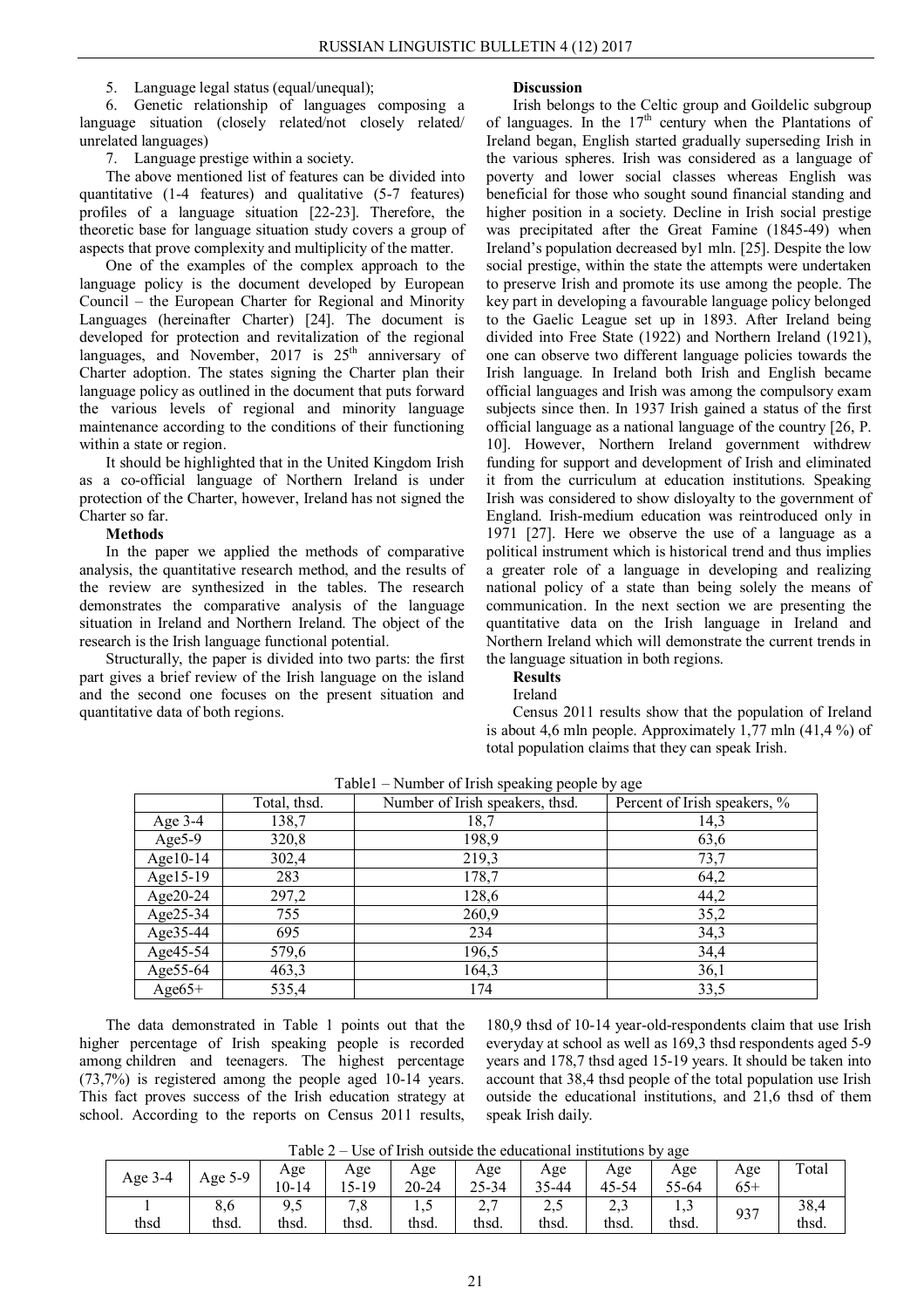### 5. Language legal status (equal/unequal);

6. Genetic relationship of languages composing a language situation (closely related/not closely related/ unrelated languages)

7. Language prestige within a society.

The above mentioned list of features can be divided into quantitative (1-4 features) and qualitative (5-7 features) profiles of a language situation [22-23]. Therefore, the theoretic base for language situation study covers a group of aspects that prove complexity and multiplicity of the matter.

One of the examples of the complex approach to the language policy is the document developed by European Council – the European Charter for Regional and Minority Languages (hereinafter Charter) [24]. The document is developed for protection and revitalization of the regional languages, and November,  $2017$  is  $25<sup>th</sup>$  anniversary of Charter adoption. The states signing the Charter plan their language policy as outlined in the document that puts forward the various levels of regional and minority language maintenance according to the conditions of their functioning within a state or region.

It should be highlighted that in the United Kingdom Irish as a co-official language of Northern Ireland is under protection of the Charter, however, Ireland has not signed the Charter so far.

#### **Methods**

In the paper we applied the methods of comparative analysis, the quantitative research method, and the results of the review are synthesized in the tables. The research demonstrates the comparative analysis of the language situation in Ireland and Northern Ireland. The object of the research is the Irish language functional potential.

Structurally, the paper is divided into two parts: the first part gives a brief review of the Irish language on the island and the second one focuses on the present situation and quantitative data of both regions.

#### **Discussion**

Irish belongs to the Celtic group and Goildelic subgroup of languages. In the  $17<sup>th</sup>$  century when the Plantations of Ireland began, English started gradually superseding Irish in the various spheres. Irish was considered as a language of poverty and lower social classes whereas English was beneficial for those who sought sound financial standing and higher position in a society. Decline in Irish social prestige was precipitated after the Great Famine (1845-49) when Ireland's population decreased by1 mln. [25]. Despite the low social prestige, within the state the attempts were undertaken to preserve Irish and promote its use among the people. The key part in developing a favourable language policy belonged to the Gaelic League set up in 1893. After Ireland being divided into Free State (1922) and Northern Ireland (1921), one can observe two different language policies towards the Irish language. In Ireland both Irish and English became official languages and Irish was among the compulsory exam subjects since then. In 1937 Irish gained a status of the first official language as a national language of the country [26, P. 10]. However, Northern Ireland government withdrew funding for support and development of Irish and eliminated it from the curriculum at education institutions. Speaking Irish was considered to show disloyalty to the government of England. Irish-medium education was reintroduced only in 1971 [27]. Here we observe the use of a language as a political instrument which is historical trend and thus implies a greater role of a language in developing and realizing national policy of a state than being solely the means of communication. In the next section we are presenting the quantitative data on the Irish language in Ireland and Northern Ireland which will demonstrate the current trends in the language situation in both regions.

# **Results**

### Ireland

Census 2011 results show that the population of Ireland is about 4,6 mln people. Approximately 1,77 mln (41,4 %) of total population claims that they can speak Irish.

|             | Total, thsd. | Number of Irish speakers, thsd. | Percent of Irish speakers, % |
|-------------|--------------|---------------------------------|------------------------------|
| Age $3-4$   | 138,7        | 18,7                            | 14,3                         |
| Age $5-9$   | 320,8        | 198,9                           | 63,6                         |
| Age $10-14$ | 302,4        | 219,3                           | 73,7                         |
| Age15-19    | 283          | 178,7                           | 64,2                         |
| Age20-24    | 297,2        | 128,6                           | 44,2                         |
| Age25-34    | 755          | 260,9                           | 35,2                         |
| Age $35-44$ | 695          | 234                             | 34,3                         |
| Age45-54    | 579,6        | 196,5                           | 34,4                         |
| Age 55-64   | 463,3        | 164,3                           | 36,1                         |
| $Age65+$    | 535,4        | 174                             | 33,5                         |

Table1 – Number of Irish speaking people by age

The data demonstrated in Table 1 points out that the higher percentage of Irish speaking people is recorded among children and teenagers. The highest percentage (73,7%) is registered among the people aged 10-14 years. This fact proves success of the Irish education strategy at school. According to the reports on Census 2011 results,

180,9 thsd of 10-14 year-old-respondents claim that use Irish everyday at school as well as 169,3 thsd respondents aged 5-9 years and 178,7 thsd aged 15-19 years. It should be taken into account that 38,4 thsd people of the total population use Irish outside the educational institutions, and 21,6 thsd of them speak Irish daily.

Table  $2 -$  Use of Irish outside the educational institutions by age

| .<br><u>UUW UL LIIUII UMMULMU MIN UMMUMMIULIMI IIIUMIUNIULIU U</u><br>- 50 |              |                   |                |                  |                              |                              |                                 |               |              |               |
|----------------------------------------------------------------------------|--------------|-------------------|----------------|------------------|------------------------------|------------------------------|---------------------------------|---------------|--------------|---------------|
| Age 3-4                                                                    | Age 5-9      | Age<br>10-14      | Age<br>$15-19$ | Age<br>$20 - 24$ | Age<br>$25 - 34$             | Age<br>35-44                 | Age<br>45-54                    | Age<br>55-64  | Age<br>$65+$ | Total         |
| thsd                                                                       | 8,6<br>thsd. | Q<br>ノ、シ<br>thsd. | 7,8<br>thsd.   | 1, 3<br>thsd.    | $\sim$ $\sim$<br>∠,<br>thsd. | $\cap$ $\in$<br>ں ک<br>thsd. | $\sim$ $\sim$<br>ل , ے<br>thsd. | 1, 1<br>thsd. | 937          | 38,4<br>thsd. |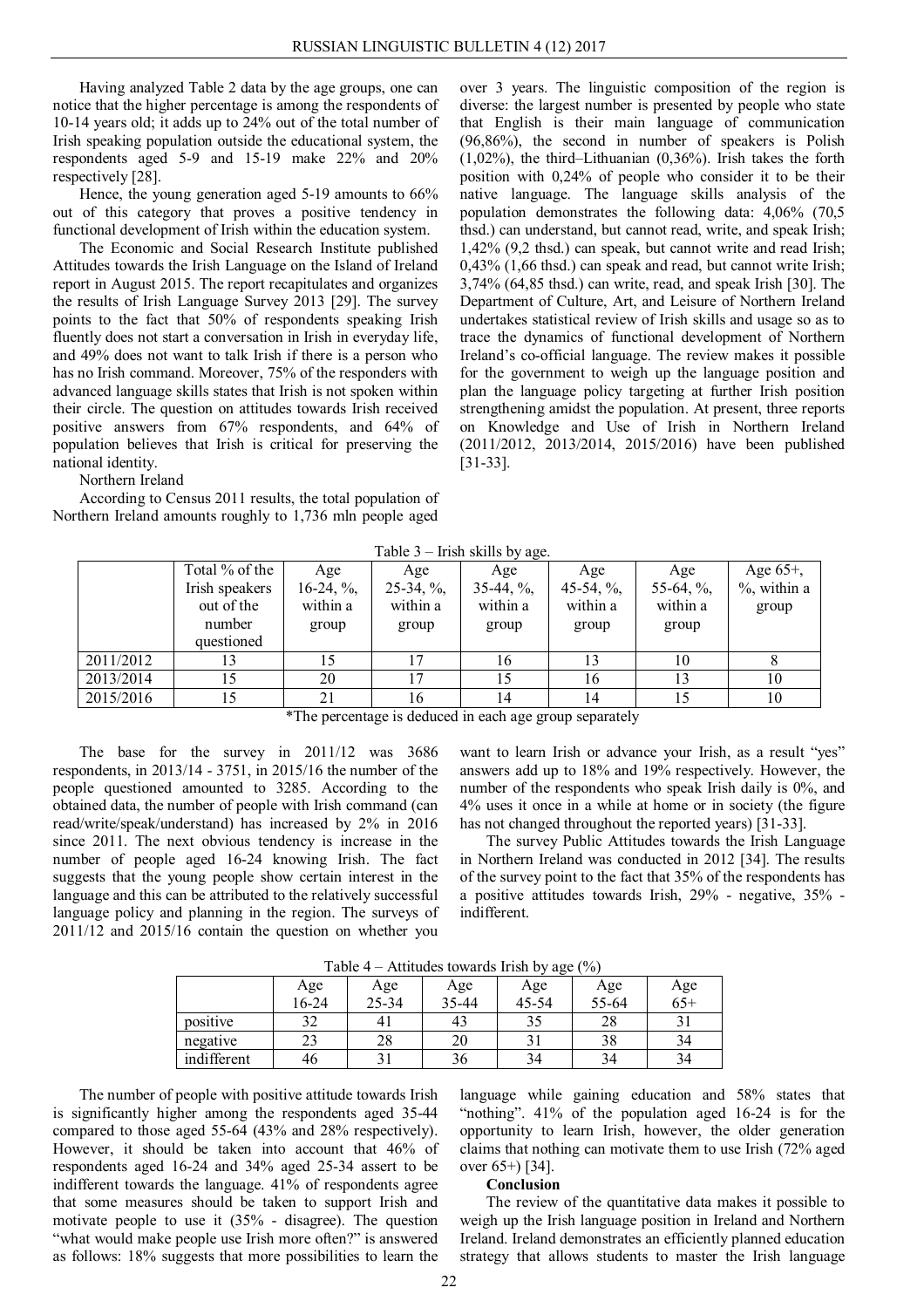Having analyzed Table 2 data by the age groups, one can notice that the higher percentage is among the respondents of 10-14 years old; it adds up to 24% out of the total number of Irish speaking population outside the educational system, the respondents aged 5-9 and 15-19 make 22% and 20% respectively [28].

Hence, the young generation aged 5-19 amounts to 66% out of this category that proves a positive tendency in functional development of Irish within the education system.

The Economic and Social Research Institute published Attitudes towards the Irish Language on the Island of Ireland report in August 2015. The report recapitulates and organizes the results of Irish Language Survey 2013 [29]. The survey points to the fact that 50% of respondents speaking Irish fluently does not start a conversation in Irish in everyday life, and 49% does not want to talk Irish if there is a person who has no Irish command. Moreover, 75% of the responders with advanced language skills states that Irish is not spoken within their circle. The question on attitudes towards Irish received positive answers from 67% respondents, and 64% of population believes that Irish is critical for preserving the national identity.

Northern Ireland

According to Census 2011 results, the total population of Northern Ireland amounts roughly to 1,736 mln people aged

over 3 years. The linguistic composition of the region is diverse: the largest number is presented by people who state that English is their main language of communication (96,86%), the second in number of speakers is Polish (1,02%), the third–Lithuanian (0,36%). Irish takes the forth position with 0,24% of people who consider it to be their native language. The language skills analysis of the population demonstrates the following data: 4,06% (70,5 thsd.) can understand, but cannot read, write, and speak Irish; 1,42% (9,2 thsd.) can speak, but cannot write and read Irish; 0,43% (1,66 thsd.) can speak and read, but cannot write Irish; 3,74% (64,85 thsd.) can write, read, and speak Irish [30]. The Department of Culture, Art, and Leisure of Northern Ireland undertakes statistical review of Irish skills and usage so as to trace the dynamics of functional development of Northern Ireland's co-official language. The review makes it possible for the government to weigh up the language position and plan the language policy targeting at further Irish position strengthening amidst the population. At present, three reports on Knowledge and Use of Irish in Northern Ireland (2011/2012, 2013/2014, 2015/2016) have been published [31-33].

Table 3 – Irish skills by age.

| $1$ avevent $2$<br>$\mu$ and $\mu$ and $\mu$ and $\mu$ and $\mu$ |                              |                           |                           |                           |                           |                           |                 |  |  |
|------------------------------------------------------------------|------------------------------|---------------------------|---------------------------|---------------------------|---------------------------|---------------------------|-----------------|--|--|
|                                                                  | Total % of the               | Age                       | Age                       | Age                       | Age                       | Age                       | Age $65+$ ,     |  |  |
|                                                                  | Irish speakers<br>out of the | $16-24, \%$ ,<br>within a | $25-34, \%$ ,<br>within a | $35-44, \%$ ,<br>within a | 45-54, $\%$ ,<br>within a | 55-64, $\%$ ,<br>within a | $\%$ , within a |  |  |
|                                                                  | number                       | group                     | group                     | group                     | group                     | group                     | group           |  |  |
|                                                                  | questioned                   |                           |                           |                           |                           |                           |                 |  |  |
| 2011/2012                                                        |                              |                           |                           | 10                        |                           |                           |                 |  |  |
| 2013/2014                                                        |                              | 20                        | 17                        |                           | 16                        |                           | 10              |  |  |
| 2015/2016                                                        |                              |                           | 16                        | 14                        | 14                        |                           | 10              |  |  |
| $\sim$ $\sim$ $\sim$ $\sim$ $\sim$ $\sim$                        |                              |                           |                           |                           |                           |                           |                 |  |  |

\*The percentage is deduced in each age group separately

The base for the survey in 2011/12 was 3686 respondents, in 2013/14 - 3751, in 2015/16 the number of the people questioned amounted to 3285. According to the obtained data, the number of people with Irish command (can read/write/speak/understand) has increased by 2% in 2016 since 2011. The next obvious tendency is increase in the number of people aged 16-24 knowing Irish. The fact suggests that the young people show certain interest in the language and this can be attributed to the relatively successful language policy and planning in the region. The surveys of 2011/12 and 2015/16 contain the question on whether you

want to learn Irish or advance your Irish, as a result "yes" answers add up to 18% and 19% respectively. However, the number of the respondents who speak Irish daily is 0%, and 4% uses it once in a while at home or in society (the figure has not changed throughout the reported years) [31-33].

The survey Public Attitudes towards the Irish Language in Northern Ireland was conducted in 2012 [34]. The results of the survey point to the fact that 35% of the respondents has a positive attitudes towards Irish, 29% - negative, 35% indifferent.

| ت           |                     |              |              |              |              |              |  |  |  |
|-------------|---------------------|--------------|--------------|--------------|--------------|--------------|--|--|--|
|             | Age<br>16-24        | Age<br>25-34 | Age<br>35-44 | Age<br>45-54 | Age<br>55-64 | Age<br>$65+$ |  |  |  |
| positive    | $32^{\circ}$<br>ے ر | 41           | 43           | 35           | 28           |              |  |  |  |
| negative    | د،                  | 28           | 20           |              | రర           | 34           |  |  |  |
| indifferent | 46                  |              | 36           | 34           | 34           | 34           |  |  |  |

Table 4 – Attitudes towards Irish by age  $(\% )$ 

The number of people with positive attitude towards Irish is significantly higher among the respondents aged 35-44 compared to those aged 55-64 (43% and 28% respectively). However, it should be taken into account that 46% of respondents aged 16-24 and 34% aged 25-34 assert to be indifferent towards the language. 41% of respondents agree that some measures should be taken to support Irish and motivate people to use it (35% - disagree). The question "what would make people use Irish more often?" is answered as follows: 18% suggests that more possibilities to learn the

language while gaining education and 58% states that "nothing". 41% of the population aged 16-24 is for the opportunity to learn Irish, however, the older generation claims that nothing can motivate them to use Irish (72% aged over 65+) [34].

#### **Conclusion**

The review of the quantitative data makes it possible to weigh up the Irish language position in Ireland and Northern Ireland. Ireland demonstrates an efficiently planned education strategy that allows students to master the Irish language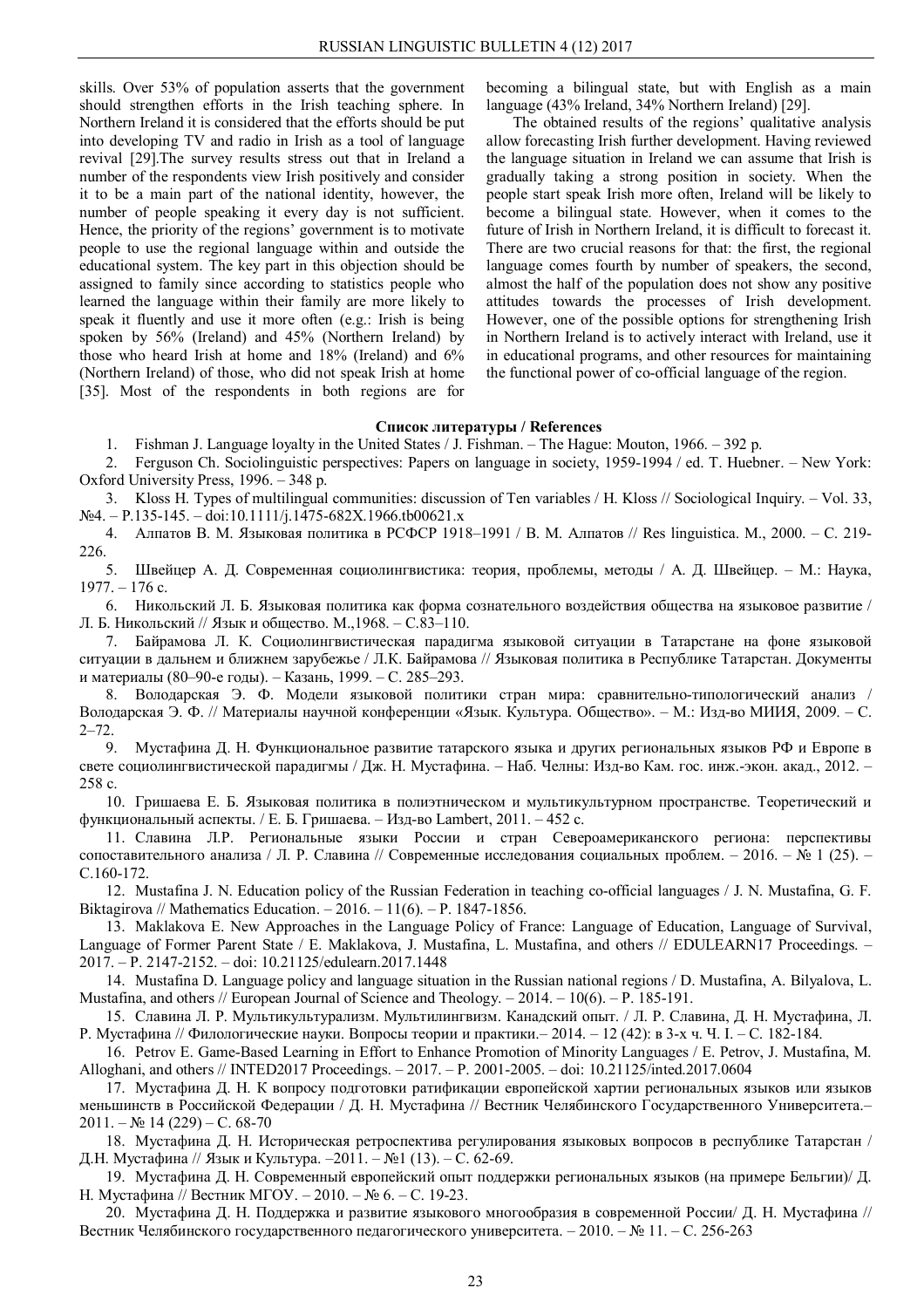skills. Over 53% of population asserts that the government should strengthen efforts in the Irish teaching sphere. In Northern Ireland it is considered that the efforts should be put into developing TV and radio in Irish as a tool of language revival [29].The survey results stress out that in Ireland a number of the respondents view Irish positively and consider it to be a main part of the national identity, however, the number of people speaking it every day is not sufficient. Hence, the priority of the regions' government is to motivate people to use the regional language within and outside the educational system. The key part in this objection should be assigned to family since according to statistics people who learned the language within their family are more likely to speak it fluently and use it more often (e.g.: Irish is being spoken by 56% (Ireland) and 45% (Northern Ireland) by those who heard Irish at home and 18% (Ireland) and 6% (Northern Ireland) of those, who did not speak Irish at home [35]. Most of the respondents in both regions are for

becoming a bilingual state, but with English as a main language (43% Ireland, 34% Northern Ireland) [29].

The obtained results of the regions' qualitative analysis allow forecasting Irish further development. Having reviewed the language situation in Ireland we can assume that Irish is gradually taking a strong position in society. When the people start speak Irish more often, Ireland will be likely to become a bilingual state. However, when it comes to the future of Irish in Northern Ireland, it is difficult to forecast it. There are two crucial reasons for that: the first, the regional language comes fourth by number of speakers, the second, almost the half of the population does not show any positive attitudes towards the processes of Irish development. However, one of the possible options for strengthening Irish in Northern Ireland is to actively interact with Ireland, use it in educational programs, and other resources for maintaining the functional power of co-official language of the region.

### **Список литературы / References**

1. Fishman J. Language loyalty in the United States / J. Fishman. – The Hague: Mouton, 1966. – 392 p.

2. Ferguson Ch. Sociolinguistic perspectives: Papers on language in society, 1959-1994 / ed. T. Huebner. – New York: Oxford University Press, 1996. – 348 p.

3. Kloss H. Types of multilingual communities: discussion of Ten variables / H. Kloss // Sociological Inquiry. – Vol. 33,  $N_2$ 4. – P.135-145. – doi:10.1111/j.1475-682X.1966.tb00621.x

4. Алпатов В. М. Языковая политика в РСФСР 1918–1991 / В. М. Алпатов // Res linguistica. M., 2000. – С. 219- 226.

5. Швейцер А. Д. Современная социолингвистика: теория, проблемы, методы / А. Д. Швейцер. – М.: Наука, 1977. – 176 с.

6. Никольский Л. Б. Языковая политика как форма сознательного воздействия общества на языковое развитие / Л. Б. Никольский // Язык и общество. М.,1968. – С.83–110.

7. Байрамова Л. К. Социолингвистическая парадигма языковой ситуации в Татарстане на фоне языковой ситуации в дальнем и ближнем зарубежье / Л.К. Байрамова // Языковая политика в Республике Татарстан. Документы и материалы (80–90-е годы). – Казань, 1999. – С. 285–293.

8. Володарская Э. Ф. Модели языковой политики стран мира: сравнительно-типологический анализ / Володарская Э. Ф. // Материалы научной конференции «Язык. Культура. Общество». – М.: Изд-во МИИЯ, 2009. – С.  $2 - 72.$ 

9. Мустафина Д. Н. Функциональное развитие татарского языка и других региональных языков РФ и Европе в свете социолингвистической парадигмы / Дж. Н. Мустафина. – Наб. Челны: Изд-во Кам. гос. инж.-экон. акад., 2012. – 258 с.

10. Гришаева Е. Б. Языковая политика в полиэтническом и мультикультурном пространстве. Теоретический и функциональный аспекты. / Е. Б. Гришаева. – Изд-во Lambert, 2011. – 452 с.

11. Славина Л.Р. Региональные языки России и стран Североамериканского региона: перспективы сопоставительного анализа / Л. Р. Славина // Современные исследования социальных проблем. – 2016. – № 1 (25). – С.160-172.

12. Mustafina J. N. Education policy of the Russian Federation in teaching co-official languages / J. N. Mustafina, G. F. Biktagirova // Mathematics Education. – 2016. – 11(6). – Р. 1847-1856.

13. Maklakova E. New Approaches in the Language Policy of France: Language of Education, Language of Survival, Language of Former Parent State / E. Maklakova, J. Mustafina, L. Mustafina, and others // EDULEARN17 Proceedings. – 2017. – P. 2147-2152. – doi: 10.21125/edulearn.2017.1448

14. Mustafina D. Language policy and language situation in the Russian national regions / D. Mustafina, A. Bilyalova, L. Mustafina, and others // European Journal of Science and Theology.  $-2014$ .  $-10(6)$ .  $-$  P. 185-191.

15. Славина Л. Р. Мультикультурализм. Мультилингвизм. Канадский опыт. / Л. Р. Славина, Д. Н. Мустафина, Л. Р. Мустафина // Филологические науки. Вопросы теории и практики.– 2014. – 12 (42): в 3-х ч. Ч. I. – С. 182-184.

16. Petrov E. Game-Based Learning in Effort to Enhance Promotion of Minority Languages / E. Petrov, J. Mustafina, M. Alloghani, and others // INTED2017 Proceedings. – 2017. – P. 2001-2005. – doi: 10.21125/inted.2017.0604

17. Мустафина Д. Н. К вопросу подготовки ратификации европейской хартии региональных языков или языков меньшинств в Российской Федерации / Д. Н. Мустафина // Вестник Челябинского Государственного Университета.– 2011. – № 14 (229) – С. 68-70

18. Мустафина Д. Н. Историческая ретроспектива регулирования языковых вопросов в республике Татарстан / Д.Н. Мустафина // Язык и Культура. –2011. – №1 (13). – С. 62-69.

19. Мустафина Д. Н. Современный европейский опыт поддержки региональных языков (на примере Бельгии)/ Д. Н. Мустафина // Вестник МГОУ. – 2010. – № 6. – С. 19-23.

20. Мустафина Д. Н. Поддержка и развитие языкового многообразия в современной России/ Д. Н. Мустафина // Вестник Челябинского государственного педагогического университета. – 2010. – № 11. – С. 256-263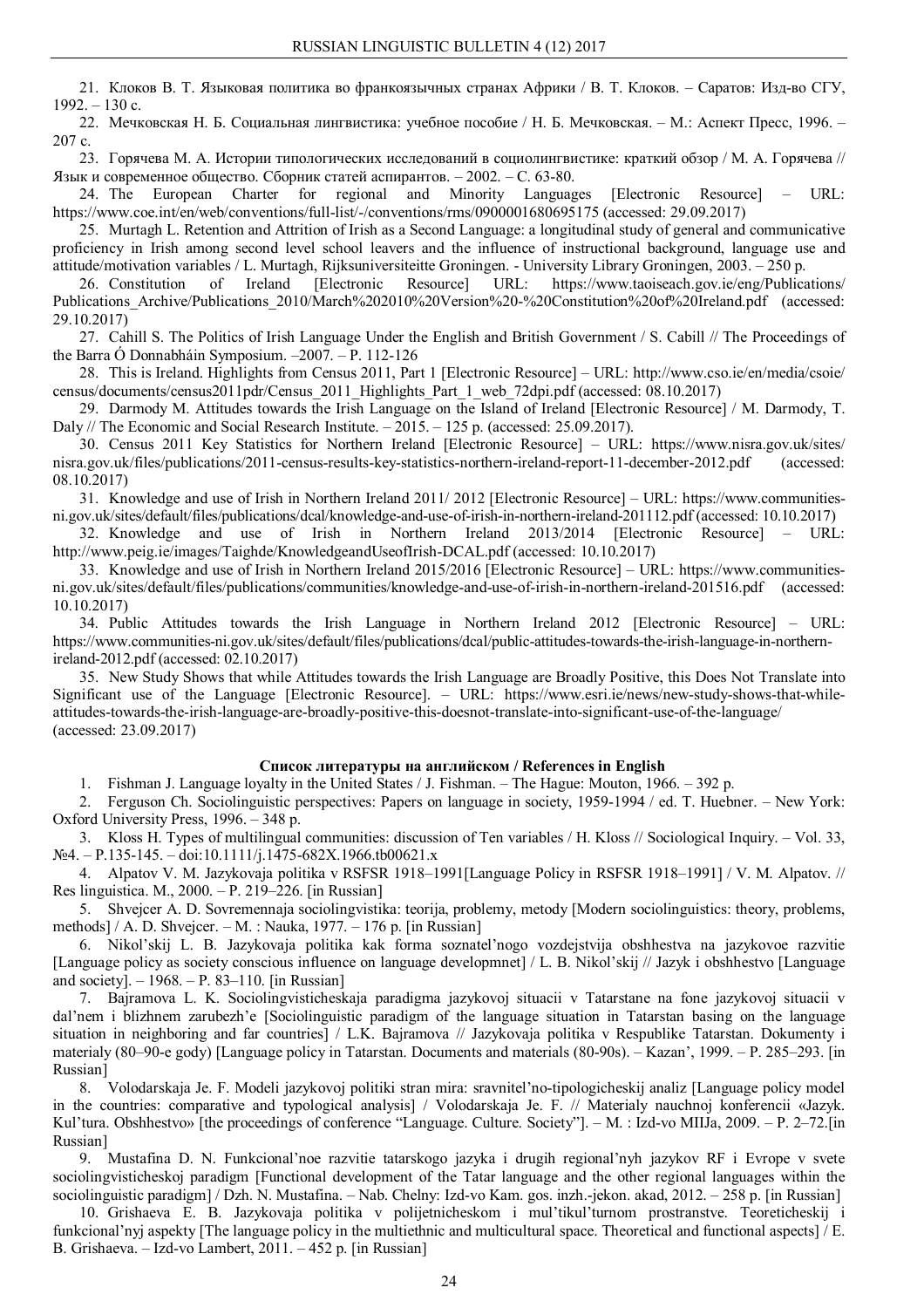21. Клоков В. Т. Языковая политика во франкоязычных странах Африки / В. Т. Клоков. – Саратов: Изд-во СГУ,  $1992. - 130$  c.

22. Мечковская Н. Б. Социальная лингвистика: учебное пособие / Н. Б. Мечковская. – М.: Аспект Пресс, 1996. – 207 с.

23. Горячева М. А. Истории типологических исследований в социолингвистике: краткий обзор / М. А. Горячева // Язык и современное общество. Сборник статей аспирантов. – 2002. – С. 63-80.

24. The European Charter for regional and Minority Languages [Electronic Resource] – URL: https://www.coe.int/en/web/conventions/full-list/-/conventions/rms/0900001680695175 (accessed: 29.09.2017)

25. Murtagh L. Retention and Attrition of Irish as a Second Language: a longitudinal study of general and communicative proficiency in Irish among second level school leavers and the influence of instructional background, language use and attitude/motivation variables / L. Murtagh, Rijksuniversiteitte Groningen. - University Library Groningen, 2003. – 250 p.

26. Constitution of Ireland [Electronic Resource] URL: https://www.taoiseach.gov.ie/eng/Publications/ Publications Archive/Publications 2010/March%202010%20Version%20-%20Constitution%20of%20Ireland.pdf (accessed: 29.10.2017)

27. Cahill S. The Politics of Irish Language Under the English and British Government / S. Cabill // The Proceedings of the Barra Ó Donnabháin Symposium. –2007. – P. 112-126

28. This is Ireland. Highlights from Census 2011, Part 1 [Electronic Resource] – URL: http://www.cso.ie/en/media/csoie/ census/documents/census2011pdr/Census\_2011\_Highlights\_Part\_1\_web\_72dpi.pdf (accessed: 08.10.2017)

29. Darmody M. Attitudes towards the Irish Language on the Island of Ireland [Electronic Resource] / M. Darmody, T. Daly // The Economic and Social Research Institute. – 2015. – 125 p. (accessed: 25.09.2017).

30. Census 2011 Key Statistics for Northern Ireland [Electronic Resource] – URL: https://www.nisra.gov.uk/sites/ nisra.gov.uk/files/publications/2011-census-results-key-statistics-northern-ireland-report-11-december-2012.pdf (accessed: 08.10.2017)

31. Knowledge and use of Irish in Northern Ireland 2011/ 2012 [Electronic Resource] – URL: https://www.communitiesni.gov.uk/sites/default/files/publications/dcal/knowledge-and-use-of-irish-in-northern-ireland-201112.pdf (accessed: 10.10.2017)

32. Knowledge and use of Irish in Northern Ireland 2013/2014 [Electronic Resource] – URL: http://www.peig.ie/images/Taighde/KnowledgeandUseofIrish-DCAL.pdf (accessed: 10.10.2017)

33. Knowledge and use of Irish in Northern Ireland 2015/2016 [Electronic Resource] – URL: https://www.communitiesni.gov.uk/sites/default/files/publications/communities/knowledge-and-use-of-irish-in-northern-ireland-201516.pdf (accessed: 10.10.2017)

34. Public Attitudes towards the Irish Language in Northern Ireland 2012 [Electronic Resource] – URL: https://www.communities-ni.gov.uk/sites/default/files/publications/dcal/public-attitudes-towards-the-irish-language-in-northernireland-2012.pdf (accessed: 02.10.2017)

35. New Study Shows that while Attitudes towards the Irish Language are Broadly Positive, this Does Not Translate into Significant use of the Language [Electronic Resource]. – URL: https://www.esri.ie/news/new-study-shows-that-whileattitudes-towards-the-irish-language-are-broadly-positive-this-doesnot-translate-into-significant-use-of-the-language/ (accessed: 23.09.2017)

### **Список литературы на английском / References in English**

1. Fishman J. Language loyalty in the United States / J. Fishman. – The Hague: Mouton, 1966. – 392 p.

2. Ferguson Ch. Sociolinguistic perspectives: Papers on language in society, 1959-1994 / ed. T. Huebner. – New York: Oxford University Press, 1996. – 348 p.

3. Kloss H. Types of multilingual communities: discussion of Ten variables / H. Kloss // Sociological Inquiry. – Vol. 33, №4. – P.135-145. – doi:10.1111/j.1475-682X.1966.tb00621.x

4. Alpatov V. M. Jazykovaja politika v RSFSR 1918–1991[Language Policy in RSFSR 1918–1991] / V. M. Alpatov. // Res linguistica. M., 2000. – P. 219–226. [in Russian]

5. Shvejcer A. D. Sovremennaja sociolingvistika: teorija, problemy, metody [Modern sociolinguistics: theory, problems, methods] / A. D. Shvejcer. – M. : Nauka, 1977. – 176 p. [in Russian]

6. Nikol'skij L. B. Jazykovaja politika kak forma soznatel'nogo vozdejstvija obshhestva na jazykovoe razvitie [Language policy as society conscious influence on language developmnet] / L. B. Nikol'skij // Jazyk i obshhestvo [Language and society].  $-1968 - P. 83 - 110$ . [in Russian]

7. Bajramova L. K. Sociolingvisticheskaja paradigma jazykovoj situacii v Tatarstane na fone jazykovoj situacii v dal'nem i blizhnem zarubezh'e [Sociolinguistic paradigm of the language situation in Tatarstan basing on the language situation in neighboring and far countries] / L.K. Bajramova // Jazykovaja politika v Respublike Tatarstan. Dokumenty i materialy (80–90-e gody) [Language policy in Tatarstan. Documents and materials (80-90s). – Kazan', 1999. – P. 285–293. [in Russian]

8. Volodarskaja Je. F. Modeli jazykovoj politiki stran mira: sravnitel'no-tipologicheskij analiz [Language policy model in the countries: comparative and typological analysis] / Volodarskaja Je. F. // Materialy nauchnoj konferencii «Jazyk. Kul'tura. Obshhestvo» [the proceedings of conference "Language. Culture. Society"]. – M. : Izd-vo MIIJa, 2009. – P. 2–72. [in Russian]

9. Mustafina D. N. Funkcional'noe razvitie tatarskogo jazyka i drugih regional'nyh jazykov RF i Evrope v svete sociolingvisticheskoj paradigm [Functional development of the Tatar language and the other regional languages within the sociolinguistic paradigm] / Dzh. N. Mustafina. – Nab. Chelny: Izd-vo Kam. gos. inzh.-jekon. akad, 2012. – 258 p. [in Russian]

10. Grishaeva E. B. Jazykovaja politika v polijetnicheskom i mul'tikul'turnom prostranstve. Teoreticheskij i funkcional'nyj aspekty [The language policy in the multiethnic and multicultural space. Theoretical and functional aspects] / E. B. Grishaeva. – Izd-vo Lambert, 2011. – 452 p. [in Russian]